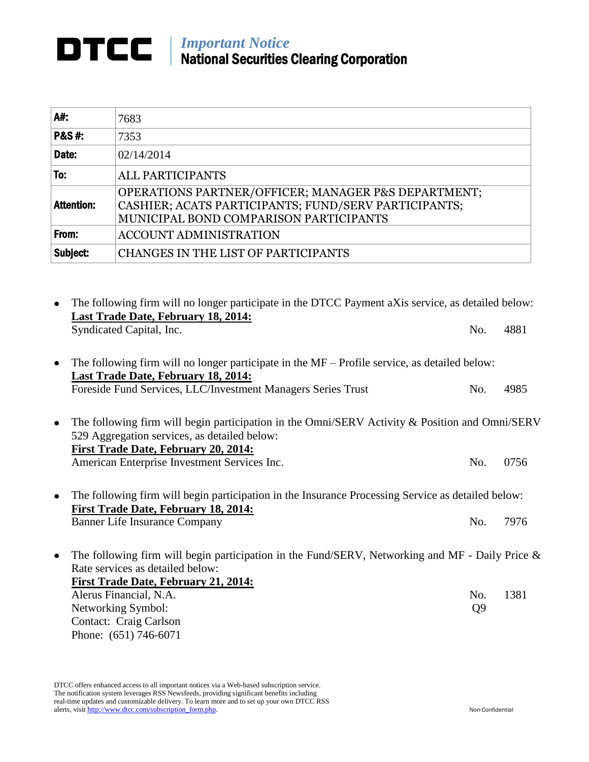## **DTCC** | *Important Notice* National Securities Clearing Corporation

| A#:               | 7683                                                                                                                                                  |
|-------------------|-------------------------------------------------------------------------------------------------------------------------------------------------------|
| <b>P&amp;S#:</b>  | 7353                                                                                                                                                  |
| Date:             | 02/14/2014                                                                                                                                            |
| To:               | <b>ALL PARTICIPANTS</b>                                                                                                                               |
| <b>Attention:</b> | OPERATIONS PARTNER/OFFICER; MANAGER P&S DEPARTMENT;<br>CASHIER; ACATS PARTICIPANTS; FUND/SERV PARTICIPANTS;<br>MUNICIPAL BOND COMPARISON PARTICIPANTS |
| From:             | <b>ACCOUNT ADMINISTRATION</b>                                                                                                                         |
| Subject:          | CHANGES IN THE LIST OF PARTICIPANTS                                                                                                                   |

The following firm will no longer participate in the DTCC Payment aXis service, as detailed below: **Last Trade Date, February 18, 2014:** Syndicated Capital, Inc. 6. 2881 The following firm will no longer participate in the MF – Profile service, as detailed below:  $\bullet$ **Last Trade Date, February 18, 2014:** Foreside Fund Services, LLC/Investment Managers Series Trust No. 4985 The following firm will begin participation in the Omni/SERV Activity & Position and Omni/SERV 529 Aggregation services, as detailed below: **First Trade Date, February 20, 2014:** American Enterprise Investment Services Inc. No. 0756 The following firm will begin participation in the Insurance Processing Service as detailed below:  $\bullet$ **First Trade Date, February 18, 2014:** Banner Life Insurance Company No. 7976 The following firm will begin participation in the Fund/SERV, Networking and MF - Daily Price & Rate services as detailed below: **First Trade Date, February 21, 2014:** Alerus Financial, N.A.  $\qquad N_o$ . 1381 Networking Symbol: Q9 Contact: Craig Carlson

DTCC offers enhanced access to all important notices via a Web-based subscription service. The notification system leverages RSS Newsfeeds, providing significant benefits including real-time updates and customizable delivery. To learn more and to set up your own DTCC RSS alerts, visit http://www.dtcc.com/subscription\_form.php. Non-Confidential

Phone: (651) 746-6071